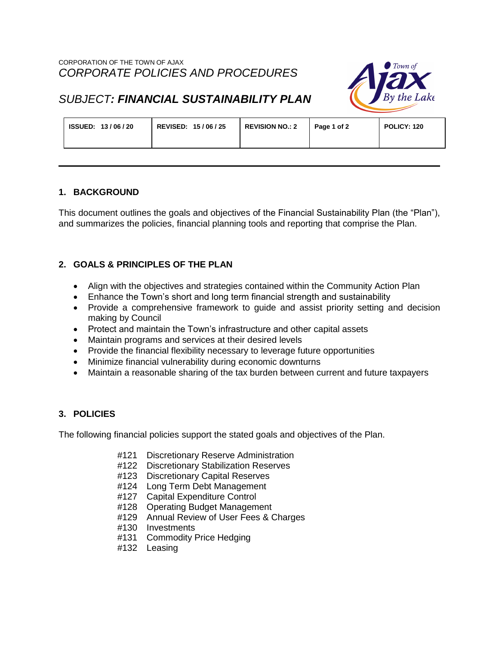

# *SUBJECT: FINANCIAL SUSTAINABILITY PLAN*

| REVISED: 15/06/25<br><b>ISSUED: 13/06/20</b> | <b>REVISION NO.: 2</b> | Page 1 of 2 | POLICY: 120 |
|----------------------------------------------|------------------------|-------------|-------------|
|----------------------------------------------|------------------------|-------------|-------------|

## **1. BACKGROUND**

This document outlines the goals and objectives of the Financial Sustainability Plan (the "Plan"), and summarizes the policies, financial planning tools and reporting that comprise the Plan.

# **2. GOALS & PRINCIPLES OF THE PLAN**

- Align with the objectives and strategies contained within the Community Action Plan
- Enhance the Town's short and long term financial strength and sustainability
- Provide a comprehensive framework to quide and assist priority setting and decision making by Council
- Protect and maintain the Town's infrastructure and other capital assets
- Maintain programs and services at their desired levels
- Provide the financial flexibility necessary to leverage future opportunities
- Minimize financial vulnerability during economic downturns
- Maintain a reasonable sharing of the tax burden between current and future taxpayers

## **3. POLICIES**

The following financial policies support the stated goals and objectives of the Plan.

- #121 Discretionary Reserve Administration
- #122 Discretionary Stabilization Reserves
- #123 Discretionary Capital Reserves
- #124 Long Term Debt Management
- #127 Capital Expenditure Control
- #128 Operating Budget Management
- #129 Annual Review of User Fees & Charges
- #130 Investments
- #131 Commodity Price Hedging
- #132 Leasing